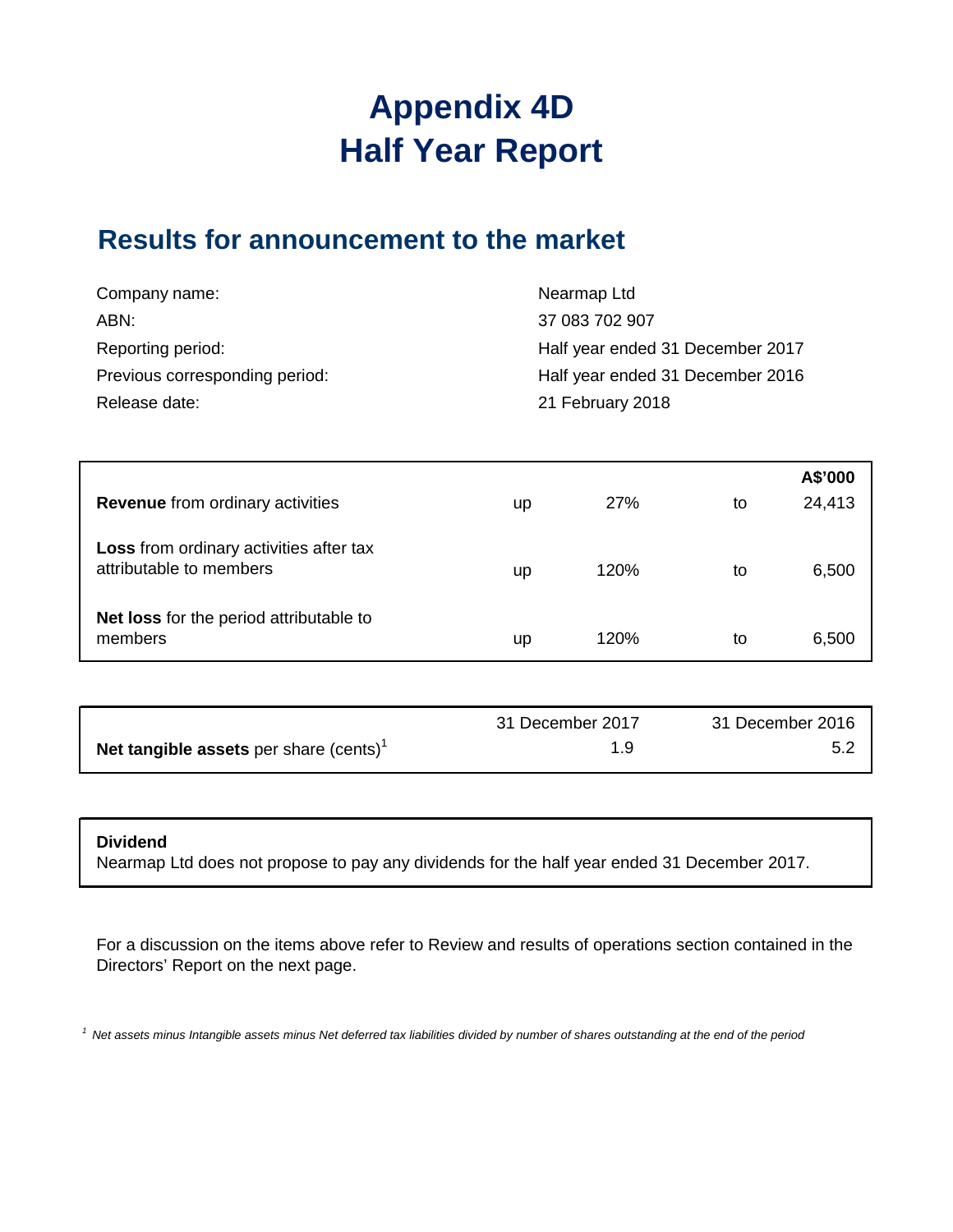# **Appendix 4D Half Year Report**

# **Results for announcement to the market**

| Company name:                  | Nearmap Ltd                      |
|--------------------------------|----------------------------------|
| ABN:                           | 37 083 702 907                   |
| Reporting period:              | Half year ended 31 December 2017 |
| Previous corresponding period: | Half year ended 31 December 2016 |
| Release date:                  | 21 February 2018                 |

|                                                                    |    |      |    | A\$'000 |
|--------------------------------------------------------------------|----|------|----|---------|
| <b>Revenue</b> from ordinary activities                            | up | 27%  | to | 24,413  |
| Loss from ordinary activities after tax<br>attributable to members | up | 120% | to | 6,500   |
| Net loss for the period attributable to<br>members                 | up | 120% | to | 6,500   |

|                                           | 31 December 2017 | 31 December 2016 |
|-------------------------------------------|------------------|------------------|
| Net tangible assets per share $(cents)^1$ |                  | 5.2              |

#### **Dividend**

Nearmap Ltd does not propose to pay any dividends for the half year ended 31 December 2017.

For a discussion on the items above refer to Review and results of operations section contained in the Directors' Report on the next page.

*1 Net assets minus Intangible assets minus Net deferred tax liabilities divided by number of shares outstanding at the end of the period*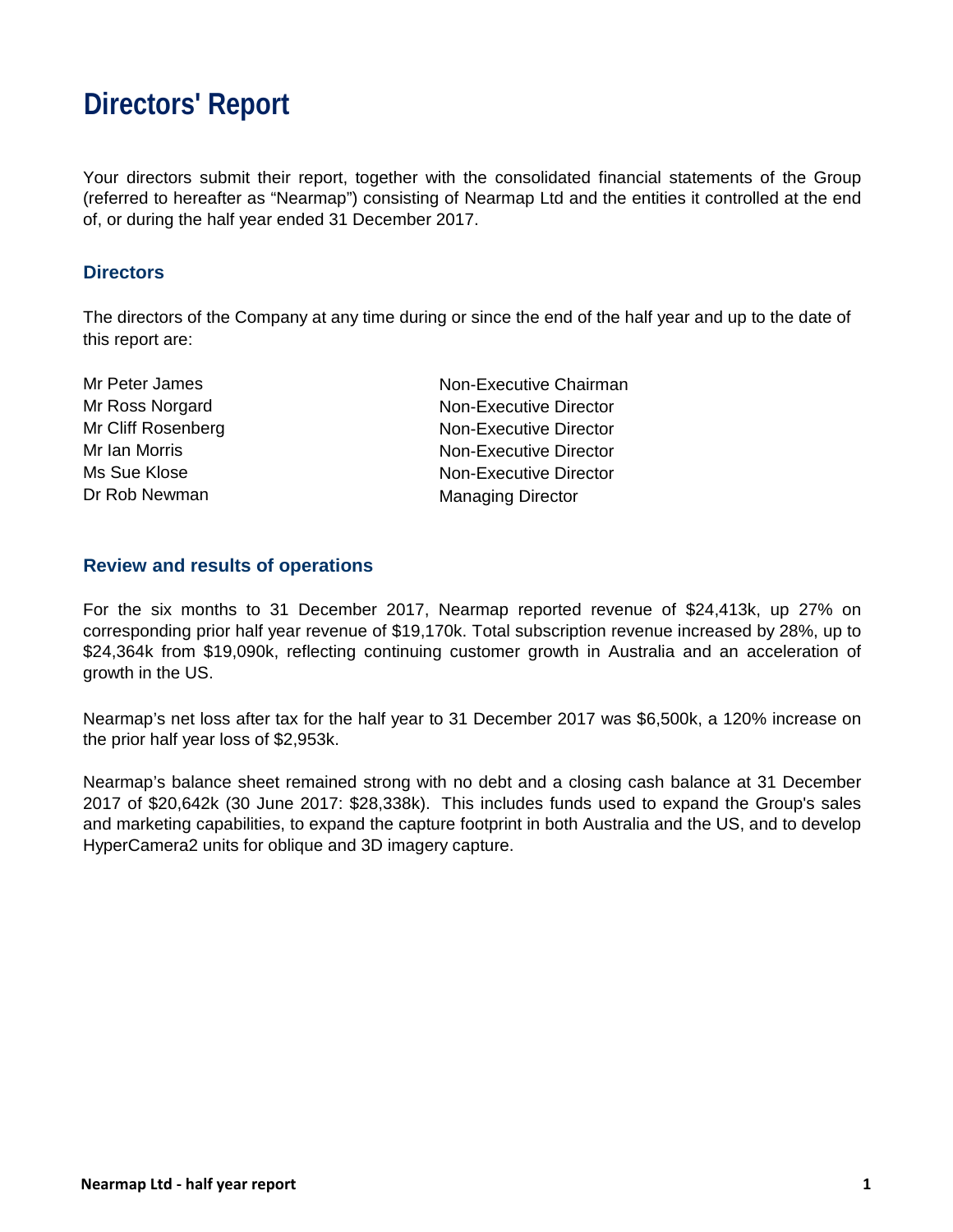# **Directors' Report**

Your directors submit their report, together with the consolidated financial statements of the Group (referred to hereafter as "Nearmap") consisting of Nearmap Ltd and the entities it controlled at the end of, or during the half year ended 31 December 2017.

### **Directors**

The directors of the Company at any time during or since the end of the half year and up to the date of this report are:

| Mr Peter James     | Non-Executive Chairman        |
|--------------------|-------------------------------|
| Mr Ross Norgard    | <b>Non-Executive Director</b> |
| Mr Cliff Rosenberg | <b>Non-Executive Director</b> |
| Mr Ian Morris      | <b>Non-Executive Director</b> |
| Ms Sue Klose       | <b>Non-Executive Director</b> |
| Dr Rob Newman      | <b>Managing Director</b>      |

#### **Review and results of operations**

For the six months to 31 December 2017, Nearmap reported revenue of \$24,413k, up 27% on corresponding prior half year revenue of \$19,170k. Total subscription revenue increased by 28%, up to \$24,364k from \$19,090k, reflecting continuing customer growth in Australia and an acceleration of growth in the US.

Nearmap's net loss after tax for the half year to 31 December 2017 was \$6,500k, a 120% increase on the prior half year loss of \$2,953k.

Nearmap's balance sheet remained strong with no debt and a closing cash balance at 31 December 2017 of \$20,642k (30 June 2017: \$28,338k). This includes funds used to expand the Group's sales and marketing capabilities, to expand the capture footprint in both Australia and the US, and to develop HyperCamera2 units for oblique and 3D imagery capture.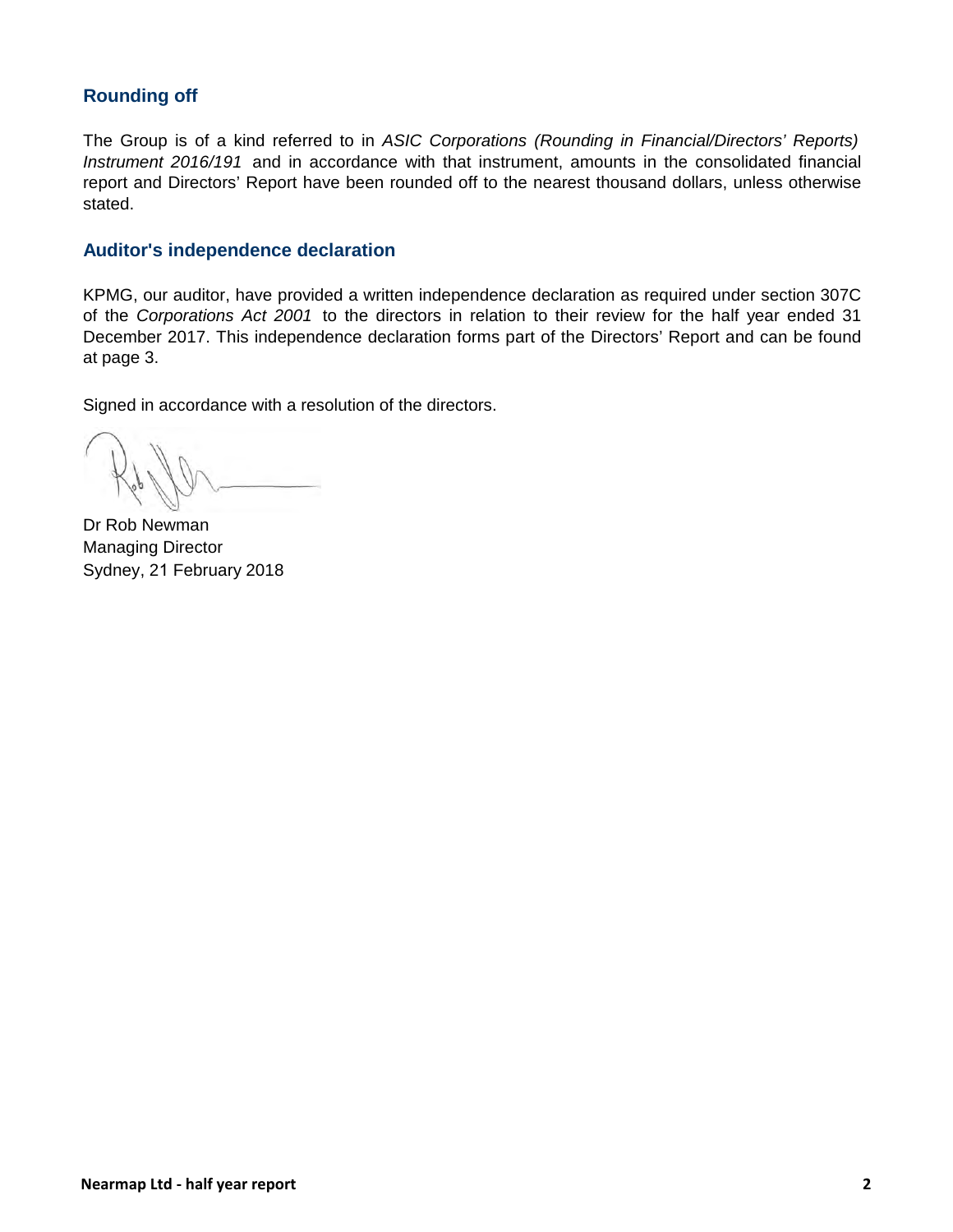## **Rounding off**

The Group is of a kind referred to in *ASIC Corporations (Rounding in Financial/Directors' Reports) Instrument 2016/191* and in accordance with that instrument, amounts in the consolidated financial report and Directors' Report have been rounded off to the nearest thousand dollars, unless otherwise stated.

### **Auditor's independence declaration**

KPMG, our auditor, have provided a written independence declaration as required under section 307C of the *Corporations Act 2001* to the directors in relation to their review for the half year ended 31 December 2017. This independence declaration forms part of the Directors' Report and can be found at page 3.

Signed in accordance with a resolution of the directors.

Dr Rob Newman Managing Director Sydney, 21 February 2018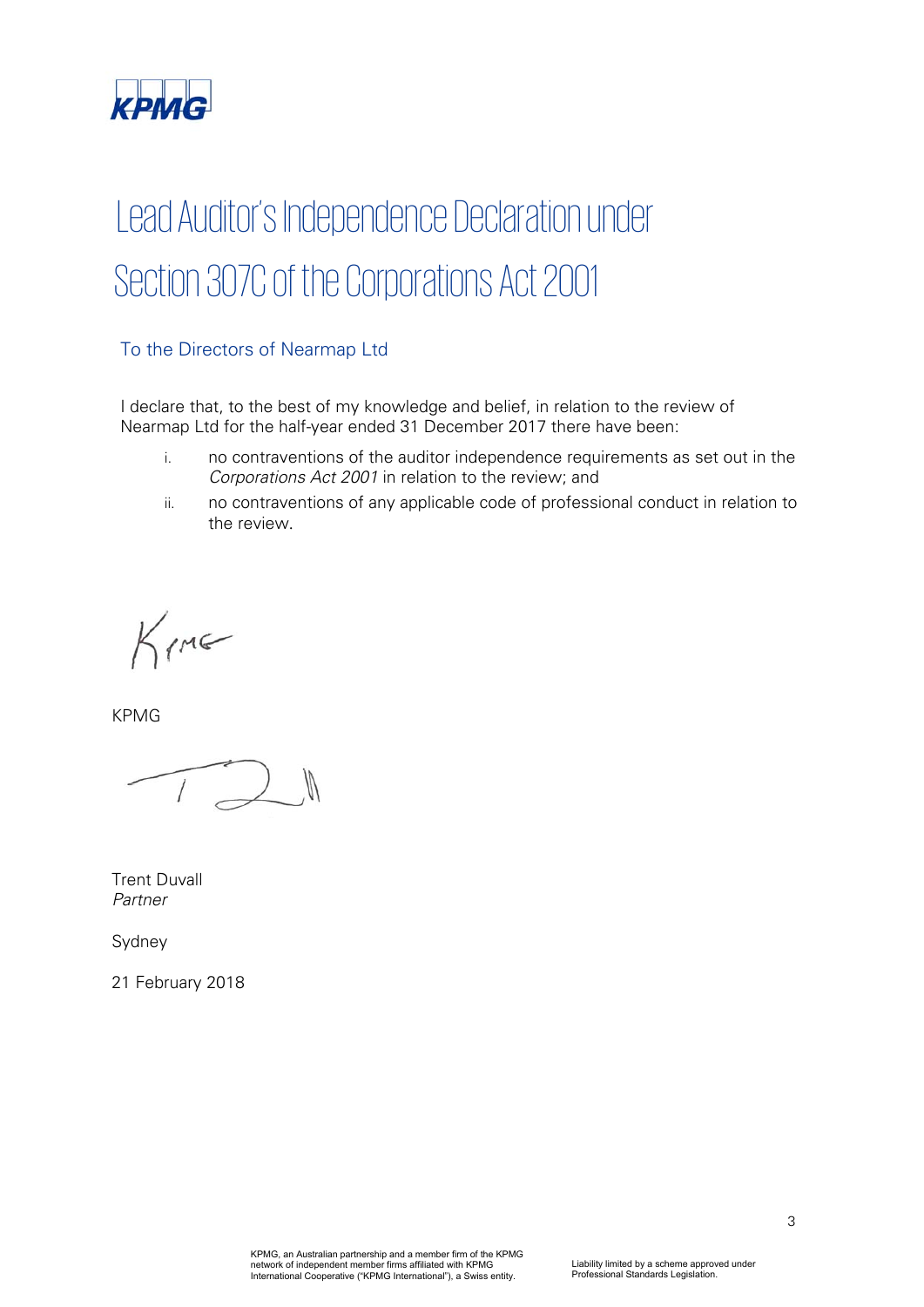

# Lead Auditor's Independence Declaration under Section 307C of the Corporations Act 2001

# To the Directors of Nearmap Ltd

I declare that, to the best of my knowledge and belief, in relation to the review of Nearmap Ltd for the half-year ended 31 December 2017 there have been:

- i. no contraventions of the auditor independence requirements as set out in the *Corporations Act 2001* in relation to the review; and
- ii. no contraventions of any applicable code of professional conduct in relation to the review.

King

KPMG

Trent Duvall *Partner* 

Sydney

21 February 2018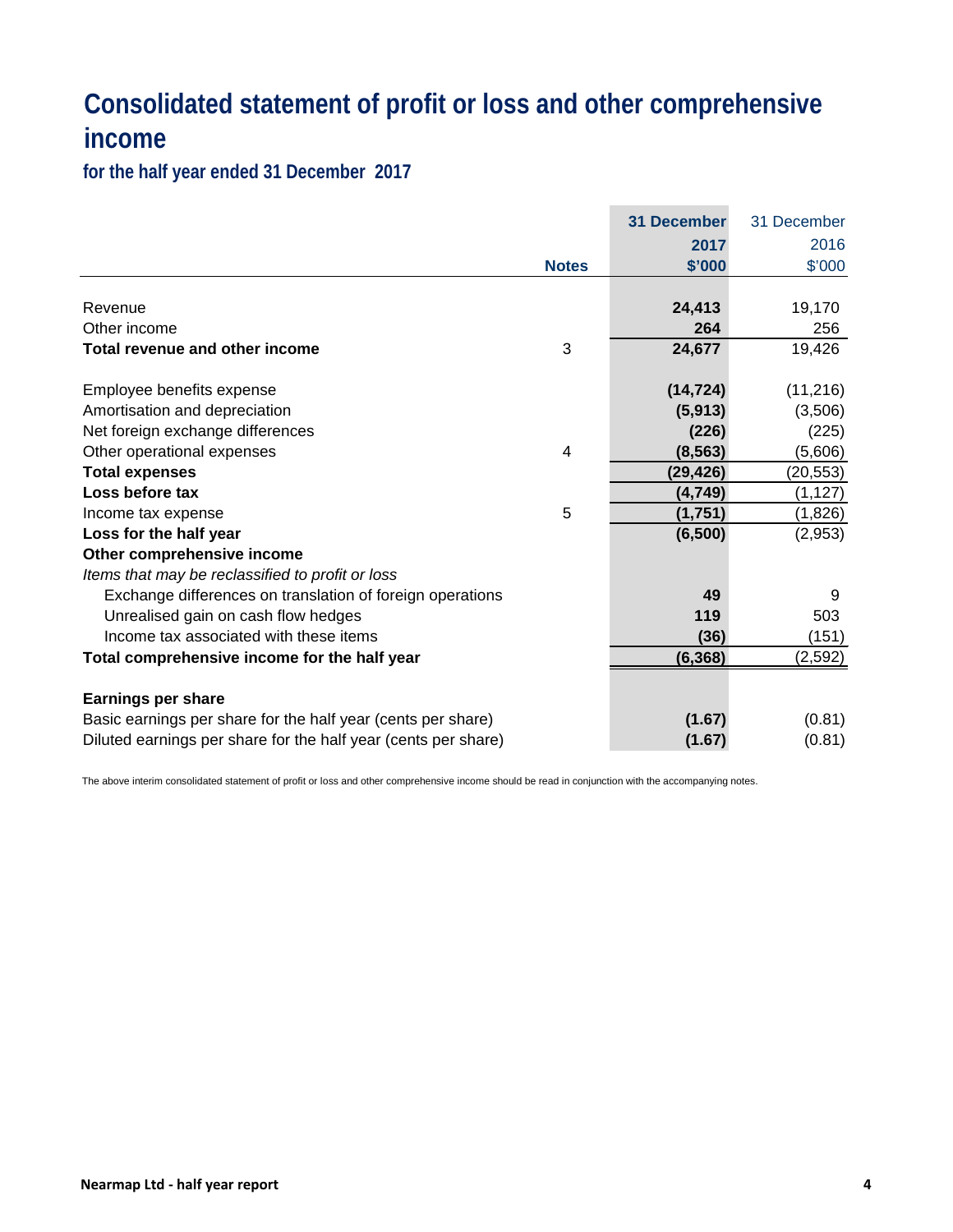# **Consolidated statement of profit or loss and other comprehensive income**

**for the half year ended 31 December 2017**

|                                                                |                | <b>31 December</b> | 31 December |
|----------------------------------------------------------------|----------------|--------------------|-------------|
|                                                                |                |                    |             |
|                                                                |                | 2017               | 2016        |
|                                                                | <b>Notes</b>   | \$'000             | \$'000      |
|                                                                |                |                    |             |
| Revenue                                                        |                | 24,413             | 19,170      |
| Other income                                                   |                | 264                | 256         |
| Total revenue and other income                                 | 3              | 24,677             | 19,426      |
| Employee benefits expense                                      |                | (14, 724)          | (11, 216)   |
| Amortisation and depreciation                                  |                | (5, 913)           | (3,506)     |
| Net foreign exchange differences                               |                | (226)              | (225)       |
| Other operational expenses                                     | $\overline{4}$ | (8, 563)           | (5,606)     |
| <b>Total expenses</b>                                          |                | (29, 426)          | (20, 553)   |
| Loss before tax                                                |                | (4,749)            | (1, 127)    |
| Income tax expense                                             | 5              | (1,751)            | (1,826)     |
| Loss for the half year                                         |                | (6,500)            | (2,953)     |
| Other comprehensive income                                     |                |                    |             |
| Items that may be reclassified to profit or loss               |                |                    |             |
| Exchange differences on translation of foreign operations      |                | 49                 | 9           |
| Unrealised gain on cash flow hedges                            |                | 119                | 503         |
| Income tax associated with these items                         |                | (36)               | (151)       |
| Total comprehensive income for the half year                   |                | (6, 368)           | (2,592)     |
|                                                                |                |                    |             |
| <b>Earnings per share</b>                                      |                |                    |             |
| Basic earnings per share for the half year (cents per share)   |                | (1.67)             | (0.81)      |
| Diluted earnings per share for the half year (cents per share) |                | (1.67)             | (0.81)      |

The above interim consolidated statement of profit or loss and other comprehensive income should be read in conjunction with the accompanying notes.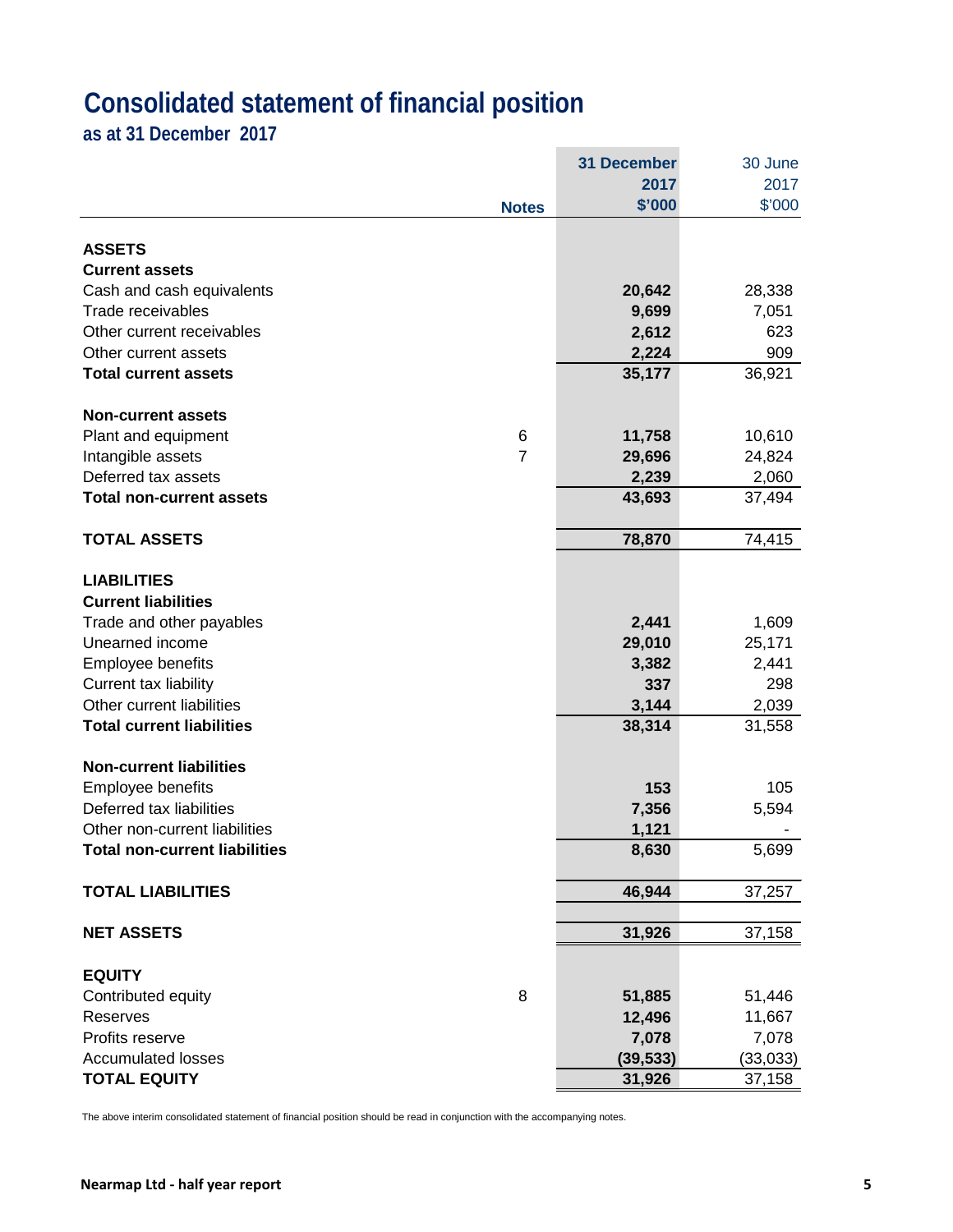# **Consolidated statement of financial position**

**as at 31 December 2017**

|                                      |                | <b>31 December</b> | 30 June  |
|--------------------------------------|----------------|--------------------|----------|
|                                      |                | 2017               | 2017     |
|                                      | <b>Notes</b>   | \$'000             | \$'000   |
| <b>ASSETS</b>                        |                |                    |          |
| <b>Current assets</b>                |                |                    |          |
| Cash and cash equivalents            |                | 20,642             | 28,338   |
| Trade receivables                    |                | 9,699              | 7,051    |
| Other current receivables            |                | 2,612              | 623      |
| Other current assets                 |                | 2,224              | 909      |
| <b>Total current assets</b>          |                | 35,177             | 36,921   |
| <b>Non-current assets</b>            |                |                    |          |
| Plant and equipment                  | 6              | 11,758             | 10,610   |
| Intangible assets                    | $\overline{7}$ | 29,696             | 24,824   |
| Deferred tax assets                  |                | 2,239              | 2,060    |
| <b>Total non-current assets</b>      |                | 43,693             | 37,494   |
| <b>TOTAL ASSETS</b>                  |                | 78,870             | 74,415   |
|                                      |                |                    |          |
| <b>LIABILITIES</b>                   |                |                    |          |
| <b>Current liabilities</b>           |                |                    |          |
| Trade and other payables             |                | 2,441              | 1,609    |
| Unearned income                      |                | 29,010             | 25,171   |
| Employee benefits                    |                | 3,382              | 2,441    |
| Current tax liability                |                | 337                | 298      |
| Other current liabilities            |                | 3,144              | 2,039    |
| <b>Total current liabilities</b>     |                | 38,314             | 31,558   |
| <b>Non-current liabilities</b>       |                |                    |          |
| Employee benefits                    |                | 153                | 105      |
| Deferred tax liabilities             |                | 7,356              | 5,594    |
| Other non-current liabilities        |                | 1,121              |          |
| <b>Total non-current liabilities</b> |                | 8,630              | 5,699    |
| <b>TOTAL LIABILITIES</b>             |                | 46,944             | 37,257   |
| <b>NET ASSETS</b>                    |                | 31,926             | 37,158   |
|                                      |                |                    |          |
| <b>EQUITY</b>                        |                |                    |          |
| Contributed equity                   | 8              | 51,885             | 51,446   |
| <b>Reserves</b>                      |                | 12,496             | 11,667   |
| Profits reserve                      |                | 7,078              | 7,078    |
| <b>Accumulated losses</b>            |                | (39, 533)          | (33,033) |
| <b>TOTAL EQUITY</b>                  |                | 31,926             | 37,158   |

**College** 

The above interim consolidated statement of financial position should be read in conjunction with the accompanying notes.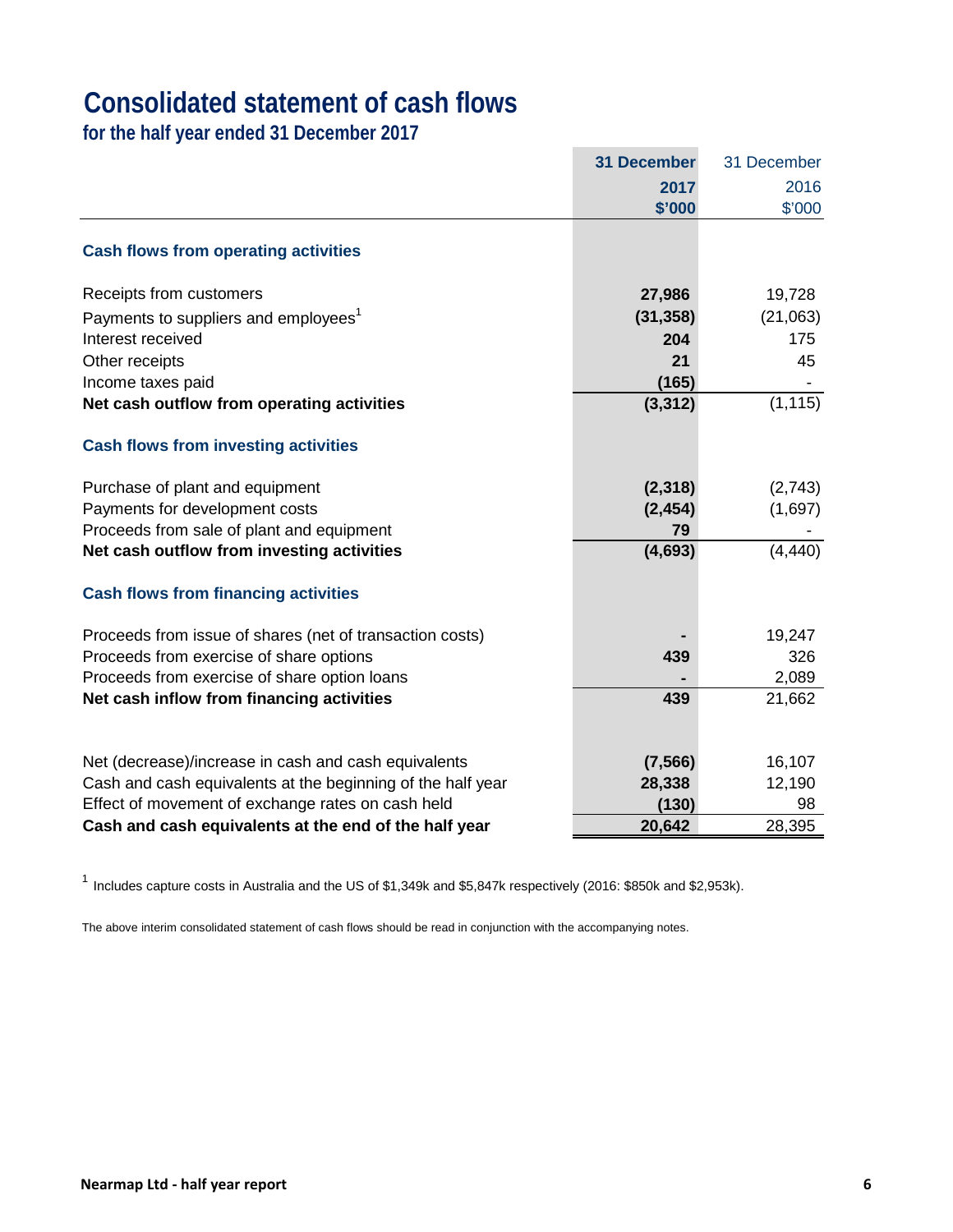# **Consolidated statement of cash flows**

**for the half year ended 31 December 2017**

|                                                             | <b>31 December</b> | 31 December |
|-------------------------------------------------------------|--------------------|-------------|
|                                                             | 2017               | 2016        |
|                                                             | \$'000             | \$'000      |
| <b>Cash flows from operating activities</b>                 |                    |             |
| Receipts from customers                                     | 27,986             | 19,728      |
| Payments to suppliers and employees <sup>1</sup>            | (31, 358)          | (21,063)    |
| Interest received                                           | 204                | 175         |
| Other receipts                                              | 21                 | 45          |
| Income taxes paid                                           | (165)              |             |
| Net cash outflow from operating activities                  | (3, 312)           | (1, 115)    |
| <b>Cash flows from investing activities</b>                 |                    |             |
| Purchase of plant and equipment                             | (2,318)            | (2,743)     |
| Payments for development costs                              | (2, 454)           | (1,697)     |
| Proceeds from sale of plant and equipment                   | 79                 |             |
| Net cash outflow from investing activities                  | (4,693)            | (4, 440)    |
| <b>Cash flows from financing activities</b>                 |                    |             |
| Proceeds from issue of shares (net of transaction costs)    |                    | 19,247      |
| Proceeds from exercise of share options                     | 439                | 326         |
| Proceeds from exercise of share option loans                |                    | 2,089       |
| Net cash inflow from financing activities                   | 439                | 21,662      |
|                                                             |                    |             |
| Net (decrease)/increase in cash and cash equivalents        | (7, 566)           | 16,107      |
| Cash and cash equivalents at the beginning of the half year | 28,338             | 12,190      |
| Effect of movement of exchange rates on cash held           | (130)              | 98          |
| Cash and cash equivalents at the end of the half year       | 20,642             | 28,395      |

1 Includes capture costs in Australia and the US of \$1,349k and \$5,847k respectively (2016: \$850k and \$2,953k).

The above interim consolidated statement of cash flows should be read in conjunction with the accompanying notes.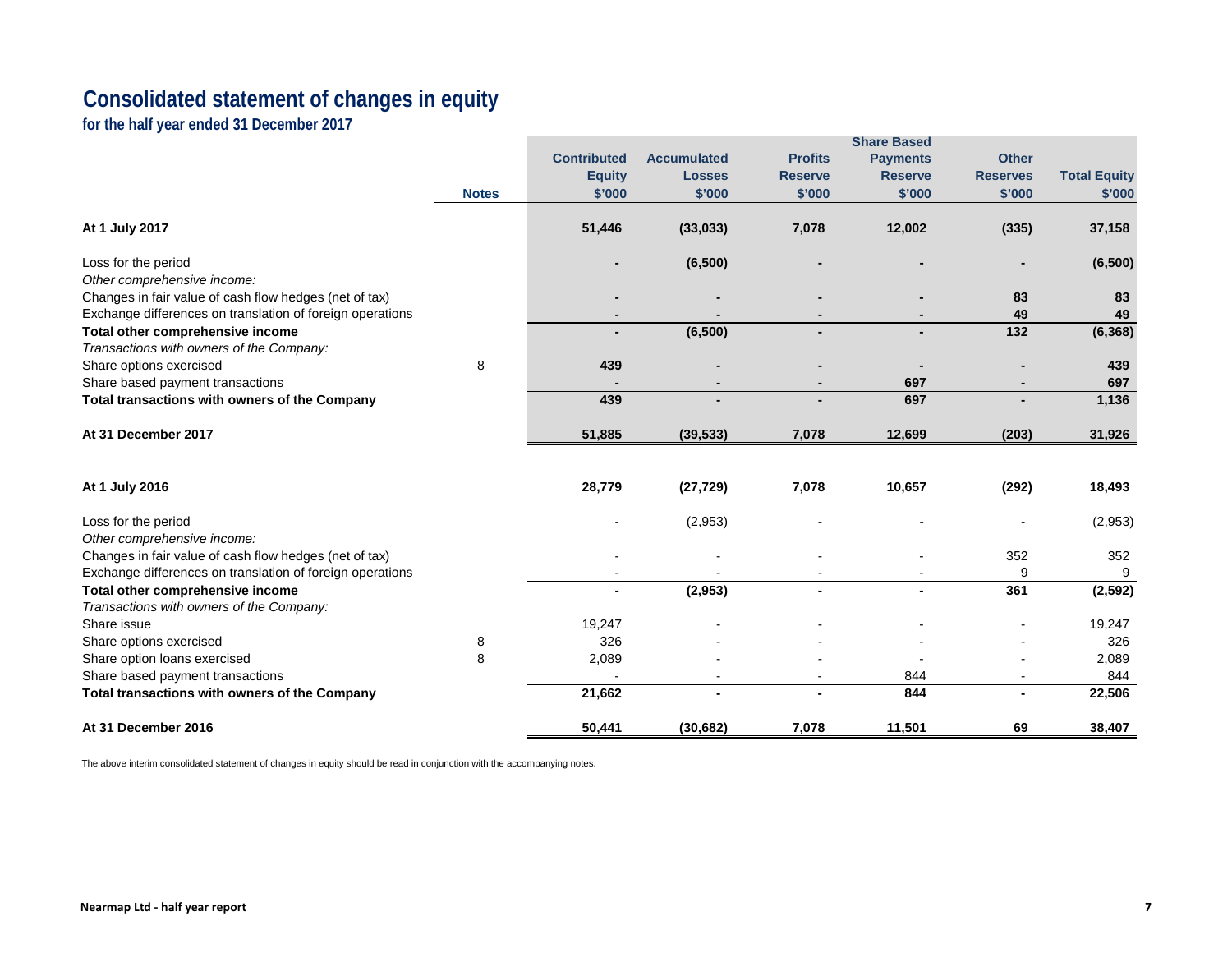# **Consolidated statement of changes in equity**

**for the half year ended 31 December 2017**

|              |                    |                        |                | <b>Share Based</b> |                 |                     |
|--------------|--------------------|------------------------|----------------|--------------------|-----------------|---------------------|
|              | <b>Contributed</b> | <b>Accumulated</b>     | <b>Profits</b> | <b>Payments</b>    | <b>Other</b>    |                     |
|              | <b>Equity</b>      | <b>Losses</b>          | <b>Reserve</b> | <b>Reserve</b>     | <b>Reserves</b> | <b>Total Equity</b> |
| <b>Notes</b> | \$'000             | \$'000                 | \$'000         | \$'000             | \$'000          | \$'000              |
|              | 51,446             | (33, 033)              | 7,078          | 12,002             | (335)           | 37,158              |
|              |                    | (6,500)                |                |                    |                 | (6,500)             |
|              |                    |                        |                |                    |                 | 83                  |
|              |                    |                        |                |                    |                 | 49                  |
|              |                    | (6,500)                |                |                    | 132             | (6, 368)            |
|              |                    |                        |                |                    |                 |                     |
| 8            | 439                |                        |                |                    |                 | 439                 |
|              |                    |                        |                | 697                |                 | 697                 |
|              | 439                | $\blacksquare$         | $\blacksquare$ | 697                |                 | 1,136               |
|              | 51,885             | (39, 533)              | 7,078          | 12,699             | (203)           | 31,926              |
|              | 28,779             | (27, 729)              | 7,078          | 10,657             | (292)           | 18,493              |
|              |                    | (2,953)                |                |                    |                 | (2,953)             |
|              |                    |                        |                |                    |                 |                     |
|              |                    |                        |                |                    | 352             | 352                 |
|              |                    |                        |                |                    | $9\,$           | 9                   |
|              | $\blacksquare$     | (2,953)                |                | $\blacksquare$     | 361             | (2, 592)            |
|              |                    |                        |                |                    |                 | 19,247              |
|              |                    |                        |                |                    |                 | 326                 |
|              |                    |                        |                |                    |                 | 2,089               |
|              |                    |                        |                |                    |                 | 844                 |
|              | 21,662             |                        |                | 844                |                 | 22,506              |
|              | 50,441             | (30, 682)              | 7,078          | 11,501             | 69              | 38,407              |
|              | 8<br>8             | 19,247<br>326<br>2,089 |                |                    | 844             | 83<br>49            |

The above interim consolidated statement of changes in equity should be read in conjunction with the accompanying notes.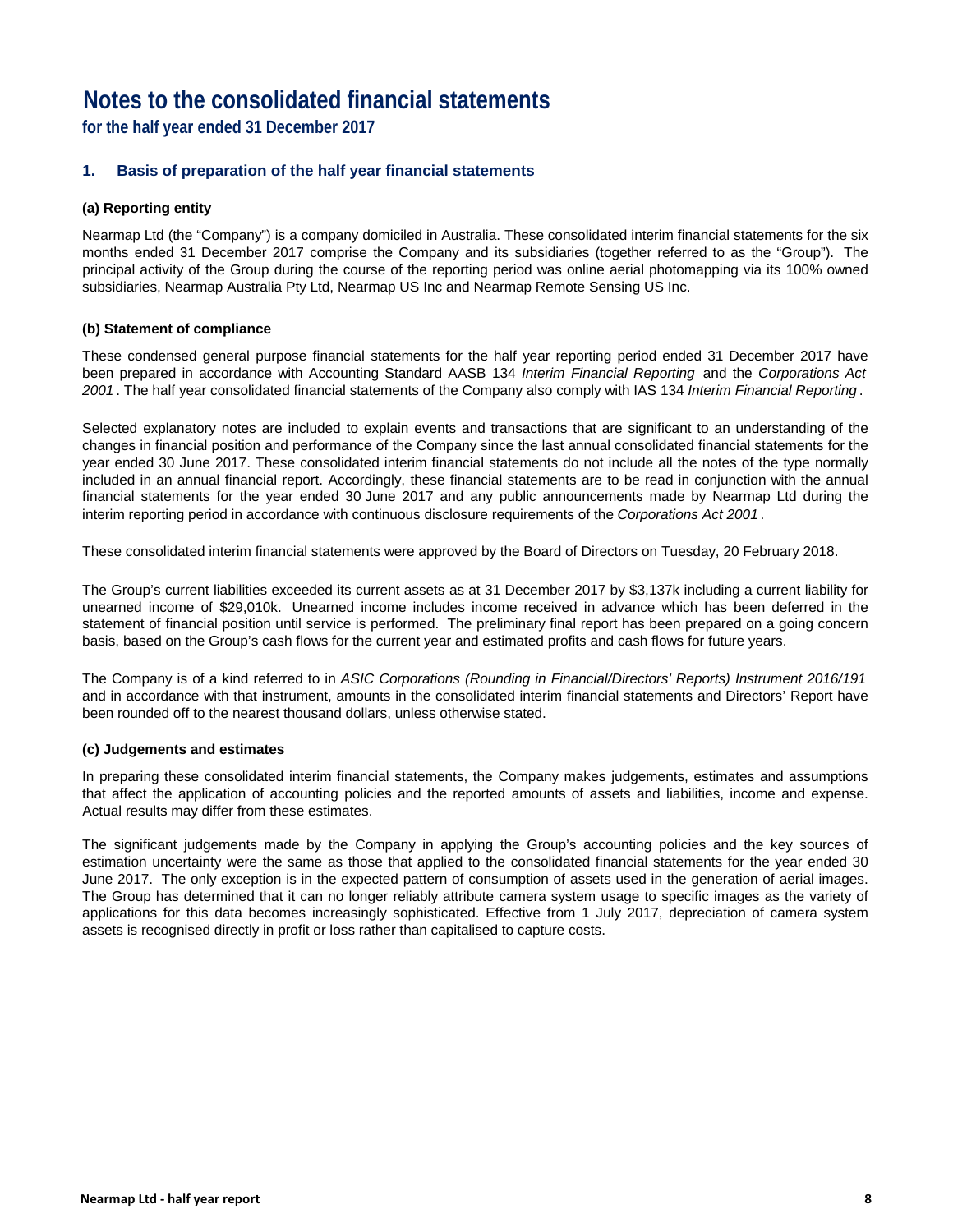**for the half year ended 31 December 2017**

### **1. Basis of preparation of the half year financial statements**

### **(a) Reporting entity**

Nearmap Ltd (the "Company") is a company domiciled in Australia. These consolidated interim financial statements for the six months ended 31 December 2017 comprise the Company and its subsidiaries (together referred to as the "Group"). The principal activity of the Group during the course of the reporting period was online aerial photomapping via its 100% owned subsidiaries, Nearmap Australia Pty Ltd, Nearmap US Inc and Nearmap Remote Sensing US Inc.

### **(b) Statement of compliance**

These condensed general purpose financial statements for the half year reporting period ended 31 December 2017 have been prepared in accordance with Accounting Standard AASB 134 *Interim Financial Reporting* and the *Corporations Act 2001* . The half year consolidated financial statements of the Company also comply with IAS 134 *Interim Financial Reporting* .

Selected explanatory notes are included to explain events and transactions that are significant to an understanding of the changes in financial position and performance of the Company since the last annual consolidated financial statements for the year ended 30 June 2017. These consolidated interim financial statements do not include all the notes of the type normally included in an annual financial report. Accordingly, these financial statements are to be read in conjunction with the annual financial statements for the year ended 30 June 2017 and any public announcements made by Nearmap Ltd during the interim reporting period in accordance with continuous disclosure requirements of the *Corporations Act 2001* .

These consolidated interim financial statements were approved by the Board of Directors on Tuesday, 20 February 2018.

The Group's current liabilities exceeded its current assets as at 31 December 2017 by \$3,137k including a current liability for unearned income of \$29,010k. Unearned income includes income received in advance which has been deferred in the statement of financial position until service is performed. The preliminary final report has been prepared on a going concern basis, based on the Group's cash flows for the current year and estimated profits and cash flows for future years.

The Company is of a kind referred to in *ASIC Corporations (Rounding in Financial/Directors' Reports) Instrument 2016/191* and in accordance with that instrument, amounts in the consolidated interim financial statements and Directors' Report have been rounded off to the nearest thousand dollars, unless otherwise stated.

### **(c) Judgements and estimates**

In preparing these consolidated interim financial statements, the Company makes judgements, estimates and assumptions that affect the application of accounting policies and the reported amounts of assets and liabilities, income and expense. Actual results may differ from these estimates.

The significant judgements made by the Company in applying the Group's accounting policies and the key sources of estimation uncertainty were the same as those that applied to the consolidated financial statements for the year ended 30 June 2017. The only exception is in the expected pattern of consumption of assets used in the generation of aerial images. The Group has determined that it can no longer reliably attribute camera system usage to specific images as the variety of applications for this data becomes increasingly sophisticated. Effective from 1 July 2017, depreciation of camera system assets is recognised directly in profit or loss rather than capitalised to capture costs.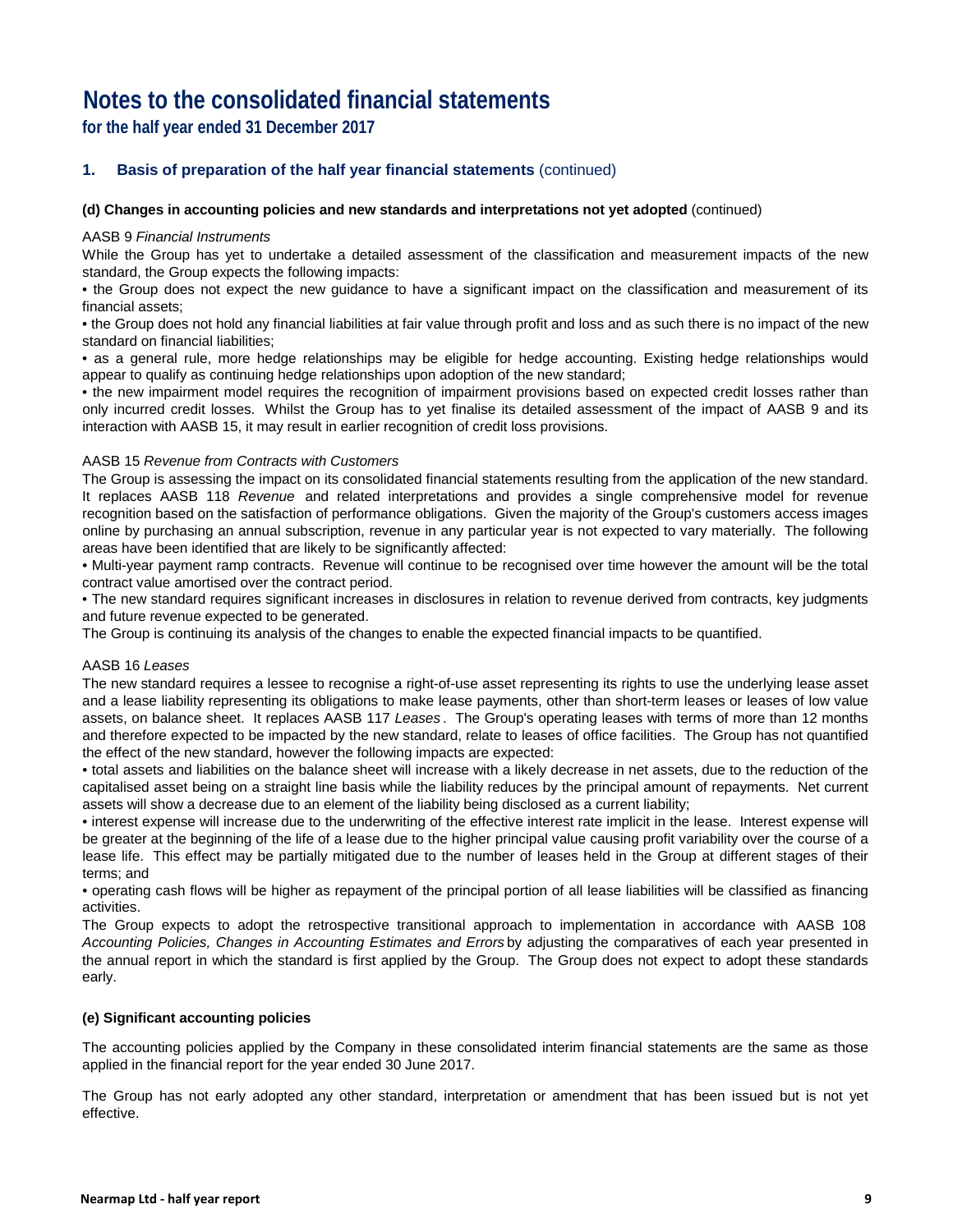**for the half year ended 31 December 2017**

## **1. Basis of preparation of the half year financial statements** (continued)

### **(d) Changes in accounting policies and new standards and interpretations not yet adopted** (continued)

### AASB 9 *Financial Instruments*

While the Group has yet to undertake a detailed assessment of the classification and measurement impacts of the new standard, the Group expects the following impacts:

• the Group does not expect the new guidance to have a significant impact on the classification and measurement of its financial assets;

• the Group does not hold any financial liabilities at fair value through profit and loss and as such there is no impact of the new standard on financial liabilities;

• as a general rule, more hedge relationships may be eligible for hedge accounting. Existing hedge relationships would appear to qualify as continuing hedge relationships upon adoption of the new standard;

• the new impairment model requires the recognition of impairment provisions based on expected credit losses rather than only incurred credit losses. Whilst the Group has to yet finalise its detailed assessment of the impact of AASB 9 and its interaction with AASB 15, it may result in earlier recognition of credit loss provisions.

### AASB 15 *Revenue from Contracts with Customers*

The Group is assessing the impact on its consolidated financial statements resulting from the application of the new standard. It replaces AASB 118 *Revenue* and related interpretations and provides a single comprehensive model for revenue recognition based on the satisfaction of performance obligations. Given the majority of the Group's customers access images online by purchasing an annual subscription, revenue in any particular year is not expected to vary materially. The following areas have been identified that are likely to be significantly affected:

• Multi-year payment ramp contracts. Revenue will continue to be recognised over time however the amount will be the total contract value amortised over the contract period.

• The new standard requires significant increases in disclosures in relation to revenue derived from contracts, key judgments and future revenue expected to be generated.

The Group is continuing its analysis of the changes to enable the expected financial impacts to be quantified.

### AASB 16 *Leases*

The new standard requires a lessee to recognise a right-of-use asset representing its rights to use the underlying lease asset and a lease liability representing its obligations to make lease payments, other than short-term leases or leases of low value assets, on balance sheet. It replaces AASB 117 *Leases* . The Group's operating leases with terms of more than 12 months and therefore expected to be impacted by the new standard, relate to leases of office facilities. The Group has not quantified the effect of the new standard, however the following impacts are expected:

• total assets and liabilities on the balance sheet will increase with a likely decrease in net assets, due to the reduction of the capitalised asset being on a straight line basis while the liability reduces by the principal amount of repayments. Net current assets will show a decrease due to an element of the liability being disclosed as a current liability;

• interest expense will increase due to the underwriting of the effective interest rate implicit in the lease. Interest expense will be greater at the beginning of the life of a lease due to the higher principal value causing profit variability over the course of a lease life. This effect may be partially mitigated due to the number of leases held in the Group at different stages of their terms; and

• operating cash flows will be higher as repayment of the principal portion of all lease liabilities will be classified as financing activities.

The Group expects to adopt the retrospective transitional approach to implementation in accordance with AASB 108 *Accounting Policies, Changes in Accounting Estimates and Errors* by adjusting the comparatives of each year presented in the annual report in which the standard is first applied by the Group. The Group does not expect to adopt these standards early.

### **(e) Significant accounting policies**

The accounting policies applied by the Company in these consolidated interim financial statements are the same as those applied in the financial report for the year ended 30 June 2017.

The Group has not early adopted any other standard, interpretation or amendment that has been issued but is not yet effective.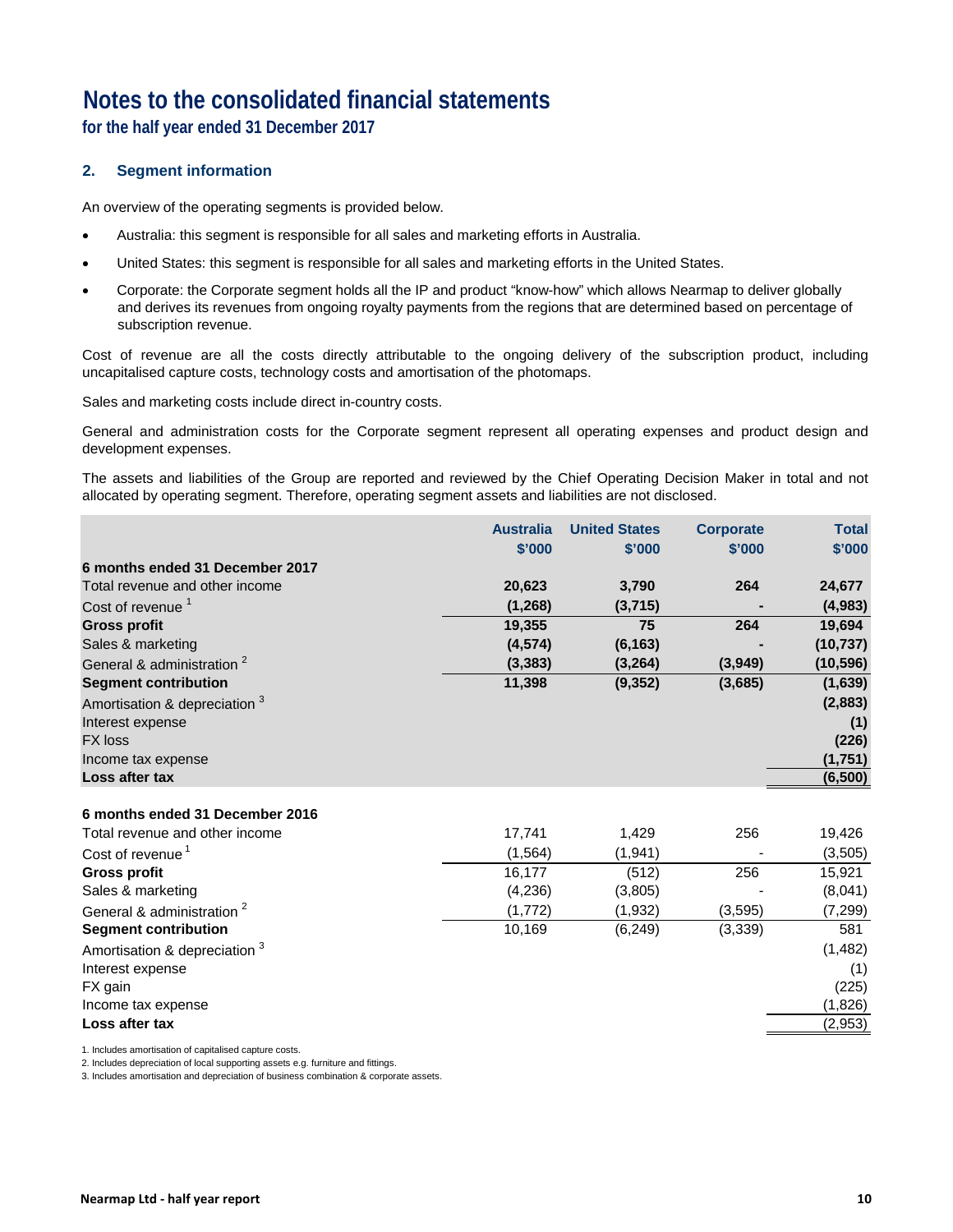**for the half year ended 31 December 2017**

## **2. Segment information**

An overview of the operating segments is provided below.

- Australia: this segment is responsible for all sales and marketing efforts in Australia.
- United States: this segment is responsible for all sales and marketing efforts in the United States.
- Corporate: the Corporate segment holds all the IP and product "know-how" which allows Nearmap to deliver globally and derives its revenues from ongoing royalty payments from the regions that are determined based on percentage of subscription revenue.

Cost of revenue are all the costs directly attributable to the ongoing delivery of the subscription product, including uncapitalised capture costs, technology costs and amortisation of the photomaps.

Sales and marketing costs include direct in-country costs.

General and administration costs for the Corporate segment represent all operating expenses and product design and development expenses.

The assets and liabilities of the Group are reported and reviewed by the Chief Operating Decision Maker in total and not allocated by operating segment. Therefore, operating segment assets and liabilities are not disclosed.

|                                       | <b>Australia</b> | <b>United States</b> | <b>Corporate</b> | <b>Total</b> |
|---------------------------------------|------------------|----------------------|------------------|--------------|
|                                       | \$'000           | \$'000               | \$'000           | \$'000       |
| 6 months ended 31 December 2017       |                  |                      |                  |              |
| Total revenue and other income        | 20,623           | 3,790                | 264              | 24,677       |
| Cost of revenue <sup>1</sup>          | (1, 268)         | (3,715)              |                  | (4,983)      |
| <b>Gross profit</b>                   | 19,355           | 75                   | 264              | 19,694       |
| Sales & marketing                     | (4, 574)         | (6, 163)             |                  | (10, 737)    |
| General & administration <sup>2</sup> | (3, 383)         | (3, 264)             | (3,949)          | (10, 596)    |
| <b>Segment contribution</b>           | 11,398           | (9, 352)             | (3,685)          | (1,639)      |
| Amortisation & depreciation 3         |                  |                      |                  | (2,883)      |
| Interest expense                      |                  |                      |                  | (1)          |
| <b>FX loss</b>                        |                  |                      |                  | (226)        |
| Income tax expense                    |                  |                      |                  | (1,751)      |
| Loss after tax                        |                  |                      |                  | (6,500)      |
|                                       |                  |                      |                  |              |
| 6 months ended 31 December 2016       |                  |                      |                  |              |
| Total revenue and other income        | 17,741           | 1,429                | 256              | 19,426       |
| Cost of revenue <sup>1</sup>          | (1, 564)         | (1, 941)             |                  | (3, 505)     |
| <b>Gross profit</b>                   | 16,177           | (512)                | 256              | 15,921       |
| Sales & marketing                     | (4,236)          | (3,805)              |                  | (8,041)      |
| General & administration              | (1,772)          | (1,932)              | (3, 595)         | (7, 299)     |
| <b>Segment contribution</b>           | 10,169           | (6, 249)             | (3,339)          | 581          |
| Amortisation & depreciation 3         |                  |                      |                  | (1, 482)     |
| Interest expense                      |                  |                      |                  | (1)          |
| FX gain                               |                  |                      |                  | (225)        |
| Income tax expense                    |                  |                      |                  | (1,826)      |

**Loss after tax** (2,953)

1. Includes amortisation of capitalised capture costs.

2. Includes depreciation of local supporting assets e.g. furniture and fittings.

3. Includes amortisation and depreciation of business combination & corporate assets.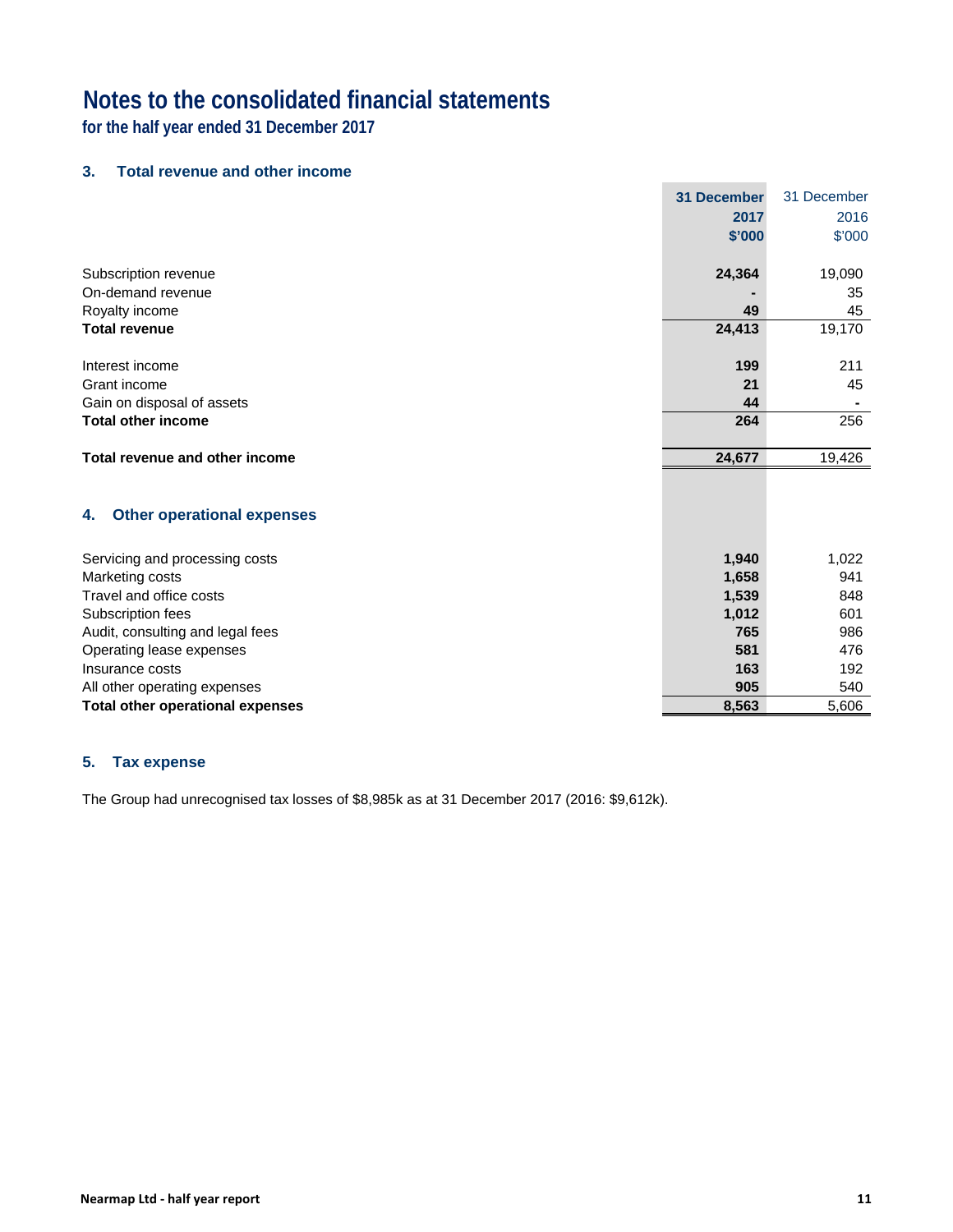**for the half year ended 31 December 2017**

# **3. Total revenue and other income**

| <b>31 December</b><br>31 December<br>2017<br>2016<br>\$'000<br>\$'000<br>24,364<br>19,090<br>Subscription revenue<br>On-demand revenue<br>35<br>Royalty income<br>49<br>45<br>19,170<br>24,413<br><b>Total revenue</b><br>199<br>211<br>Interest income<br>Grant income<br>21<br>45<br>Gain on disposal of assets<br>44<br><b>Total other income</b><br>264<br>256<br>24,677<br>19,426<br>Total revenue and other income<br><b>Other operational expenses</b><br>4.<br>1,022<br>1,940<br>Servicing and processing costs<br>Marketing costs<br>1,658<br>941<br>Travel and office costs<br>1,539<br>848<br>Subscription fees<br>1,012<br>601<br>765<br>Audit, consulting and legal fees<br>986<br>Operating lease expenses<br>581<br>476<br>163<br>Insurance costs<br>192<br>905<br>540<br>All other operating expenses<br><b>Total other operational expenses</b><br>8,563<br>5,606 |  |  |
|------------------------------------------------------------------------------------------------------------------------------------------------------------------------------------------------------------------------------------------------------------------------------------------------------------------------------------------------------------------------------------------------------------------------------------------------------------------------------------------------------------------------------------------------------------------------------------------------------------------------------------------------------------------------------------------------------------------------------------------------------------------------------------------------------------------------------------------------------------------------------------|--|--|
|                                                                                                                                                                                                                                                                                                                                                                                                                                                                                                                                                                                                                                                                                                                                                                                                                                                                                    |  |  |
|                                                                                                                                                                                                                                                                                                                                                                                                                                                                                                                                                                                                                                                                                                                                                                                                                                                                                    |  |  |
|                                                                                                                                                                                                                                                                                                                                                                                                                                                                                                                                                                                                                                                                                                                                                                                                                                                                                    |  |  |
|                                                                                                                                                                                                                                                                                                                                                                                                                                                                                                                                                                                                                                                                                                                                                                                                                                                                                    |  |  |
|                                                                                                                                                                                                                                                                                                                                                                                                                                                                                                                                                                                                                                                                                                                                                                                                                                                                                    |  |  |
|                                                                                                                                                                                                                                                                                                                                                                                                                                                                                                                                                                                                                                                                                                                                                                                                                                                                                    |  |  |
|                                                                                                                                                                                                                                                                                                                                                                                                                                                                                                                                                                                                                                                                                                                                                                                                                                                                                    |  |  |
|                                                                                                                                                                                                                                                                                                                                                                                                                                                                                                                                                                                                                                                                                                                                                                                                                                                                                    |  |  |
|                                                                                                                                                                                                                                                                                                                                                                                                                                                                                                                                                                                                                                                                                                                                                                                                                                                                                    |  |  |
|                                                                                                                                                                                                                                                                                                                                                                                                                                                                                                                                                                                                                                                                                                                                                                                                                                                                                    |  |  |
|                                                                                                                                                                                                                                                                                                                                                                                                                                                                                                                                                                                                                                                                                                                                                                                                                                                                                    |  |  |
|                                                                                                                                                                                                                                                                                                                                                                                                                                                                                                                                                                                                                                                                                                                                                                                                                                                                                    |  |  |
|                                                                                                                                                                                                                                                                                                                                                                                                                                                                                                                                                                                                                                                                                                                                                                                                                                                                                    |  |  |
|                                                                                                                                                                                                                                                                                                                                                                                                                                                                                                                                                                                                                                                                                                                                                                                                                                                                                    |  |  |
|                                                                                                                                                                                                                                                                                                                                                                                                                                                                                                                                                                                                                                                                                                                                                                                                                                                                                    |  |  |
|                                                                                                                                                                                                                                                                                                                                                                                                                                                                                                                                                                                                                                                                                                                                                                                                                                                                                    |  |  |
|                                                                                                                                                                                                                                                                                                                                                                                                                                                                                                                                                                                                                                                                                                                                                                                                                                                                                    |  |  |
|                                                                                                                                                                                                                                                                                                                                                                                                                                                                                                                                                                                                                                                                                                                                                                                                                                                                                    |  |  |
|                                                                                                                                                                                                                                                                                                                                                                                                                                                                                                                                                                                                                                                                                                                                                                                                                                                                                    |  |  |
|                                                                                                                                                                                                                                                                                                                                                                                                                                                                                                                                                                                                                                                                                                                                                                                                                                                                                    |  |  |
|                                                                                                                                                                                                                                                                                                                                                                                                                                                                                                                                                                                                                                                                                                                                                                                                                                                                                    |  |  |
|                                                                                                                                                                                                                                                                                                                                                                                                                                                                                                                                                                                                                                                                                                                                                                                                                                                                                    |  |  |
|                                                                                                                                                                                                                                                                                                                                                                                                                                                                                                                                                                                                                                                                                                                                                                                                                                                                                    |  |  |
|                                                                                                                                                                                                                                                                                                                                                                                                                                                                                                                                                                                                                                                                                                                                                                                                                                                                                    |  |  |
|                                                                                                                                                                                                                                                                                                                                                                                                                                                                                                                                                                                                                                                                                                                                                                                                                                                                                    |  |  |
|                                                                                                                                                                                                                                                                                                                                                                                                                                                                                                                                                                                                                                                                                                                                                                                                                                                                                    |  |  |
|                                                                                                                                                                                                                                                                                                                                                                                                                                                                                                                                                                                                                                                                                                                                                                                                                                                                                    |  |  |

# **5. Tax expense**

The Group had unrecognised tax losses of \$8,985k as at 31 December 2017 (2016: \$9,612k).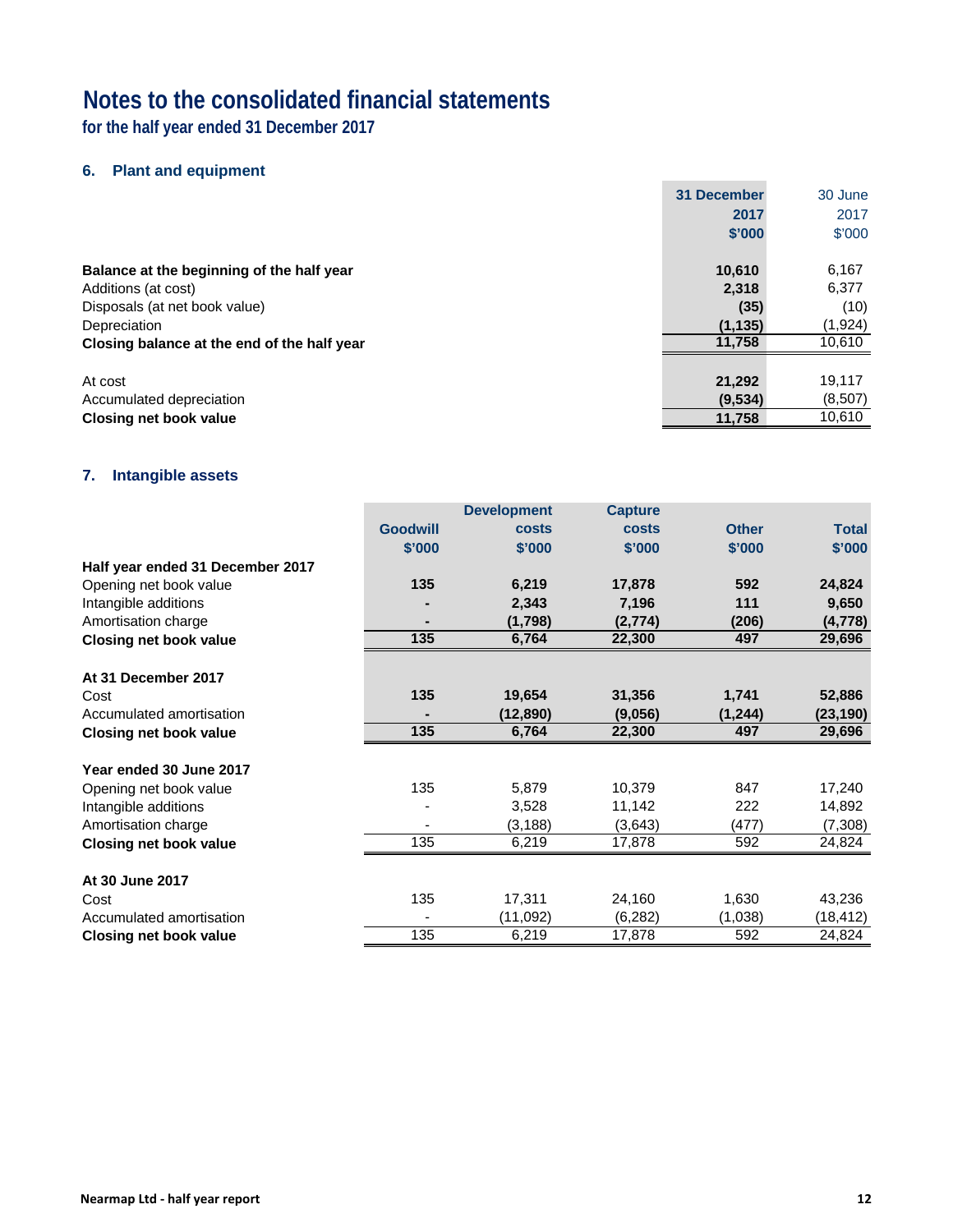**for the half year ended 31 December 2017**

# **6. Plant and equipment**

|                                             | 31 December | 30 June  |
|---------------------------------------------|-------------|----------|
|                                             | 2017        | 2017     |
|                                             | \$'000      | \$'000   |
|                                             |             |          |
| Balance at the beginning of the half year   | 10,610      | 6,167    |
| Additions (at cost)                         | 2,318       | 6,377    |
| Disposals (at net book value)               | (35)        | (10)     |
| Depreciation                                | (1, 135)    | (1, 924) |
| Closing balance at the end of the half year | 11,758      | 10,610   |
|                                             |             |          |
| At cost                                     | 21,292      | 19,117   |
| Accumulated depreciation                    | (9, 534)    | (8,507)  |
| <b>Closing net book value</b>               | 11,758      | 10,610   |

### **7. Intangible assets**

|                                  |                 | <b>Development</b> | <b>Capture</b> |              |              |
|----------------------------------|-----------------|--------------------|----------------|--------------|--------------|
|                                  | <b>Goodwill</b> | <b>costs</b>       | <b>costs</b>   | <b>Other</b> | <b>Total</b> |
|                                  | \$'000          | \$'000             | \$'000         | \$'000       | \$'000       |
| Half year ended 31 December 2017 |                 |                    |                |              |              |
| Opening net book value           | 135             | 6,219              | 17,878         | 592          | 24,824       |
| Intangible additions             |                 | 2,343              | 7,196          | 111          | 9,650        |
| Amortisation charge              |                 | (1,798)            | (2,774)        | (206)        | (4, 778)     |
| <b>Closing net book value</b>    | 135             | 6,764              | 22,300         | 497          | 29,696       |
| At 31 December 2017              |                 |                    |                |              |              |
| Cost                             | 135             | 19,654             | 31,356         | 1,741        | 52,886       |
| Accumulated amortisation         |                 | (12, 890)          | (9,056)        | (1, 244)     | (23, 190)    |
| <b>Closing net book value</b>    | 135             | 6,764              | 22,300         | 497          | 29,696       |
| Year ended 30 June 2017          |                 |                    |                |              |              |
| Opening net book value           | 135             | 5,879              | 10,379         | 847          | 17,240       |
| Intangible additions             |                 | 3,528              | 11,142         | 222          | 14,892       |
| Amortisation charge              |                 | (3, 188)           | (3,643)        | (477)        | (7,308)      |
| <b>Closing net book value</b>    | 135             | 6,219              | 17,878         | 592          | 24,824       |
| At 30 June 2017                  |                 |                    |                |              |              |
| Cost                             | 135             | 17,311             | 24,160         | 1,630        | 43,236       |
| Accumulated amortisation         |                 | (11,092)           | (6, 282)       | (1,038)      | (18, 412)    |
| <b>Closing net book value</b>    | 135             | 6,219              | 17,878         | 592          | 24,824       |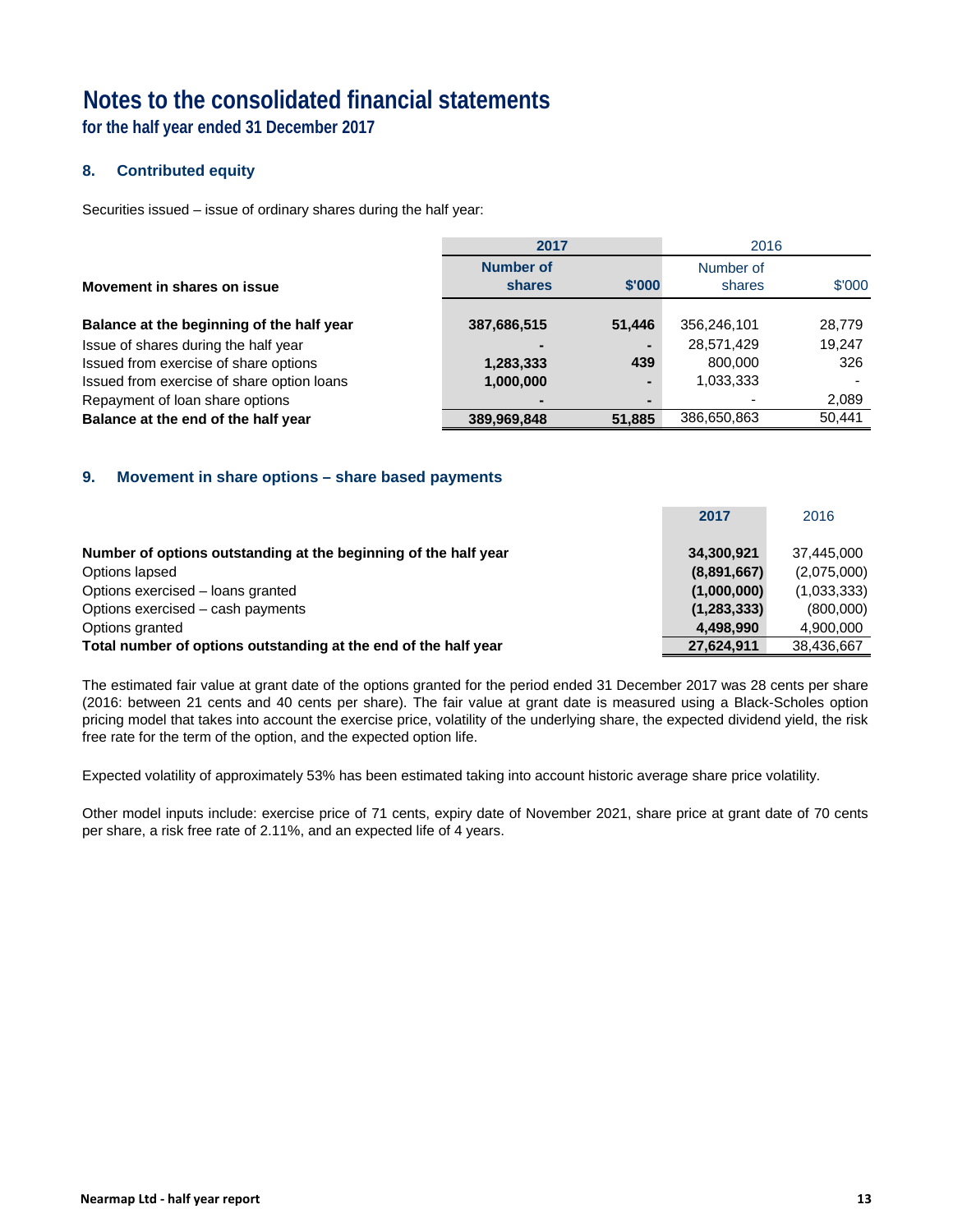**for the half year ended 31 December 2017**

# **8. Contributed equity**

Securities issued – issue of ordinary shares during the half year:

|                                            | 2017                       |        | 2016                |        |
|--------------------------------------------|----------------------------|--------|---------------------|--------|
| Movement in shares on issue                | <b>Number of</b><br>shares | \$'000 | Number of<br>shares | \$'000 |
| Balance at the beginning of the half year  | 387,686,515                | 51,446 | 356,246,101         | 28,779 |
| Issue of shares during the half year       |                            |        | 28,571,429          | 19,247 |
| Issued from exercise of share options      | 1,283,333                  | 439    | 800,000             | 326    |
| Issued from exercise of share option loans | 1,000,000                  |        | 1,033,333           |        |
| Repayment of loan share options            | -                          |        |                     | 2,089  |
| Balance at the end of the half year        | 389,969,848                | 51,885 | 386,650,863         | 50,441 |

# **9. Movement in share options – share based payments**

|                                                                 | 2017          | 2016        |
|-----------------------------------------------------------------|---------------|-------------|
| Number of options outstanding at the beginning of the half year | 34,300,921    | 37,445,000  |
| Options lapsed                                                  | (8,891,667)   | (2,075,000) |
| Options exercised – loans granted                               | (1,000,000)   | (1,033,333) |
| Options exercised - cash payments                               | (1, 283, 333) | (800,000)   |
| Options granted                                                 | 4,498,990     | 4,900,000   |
| Total number of options outstanding at the end of the half year | 27,624,911    | 38,436,667  |
|                                                                 |               |             |

The estimated fair value at grant date of the options granted for the period ended 31 December 2017 was 28 cents per share (2016: between 21 cents and 40 cents per share). The fair value at grant date is measured using a Black-Scholes option pricing model that takes into account the exercise price, volatility of the underlying share, the expected dividend yield, the risk free rate for the term of the option, and the expected option life.

Expected volatility of approximately 53% has been estimated taking into account historic average share price volatility.

Other model inputs include: exercise price of 71 cents, expiry date of November 2021, share price at grant date of 70 cents per share, a risk free rate of 2.11%, and an expected life of 4 years.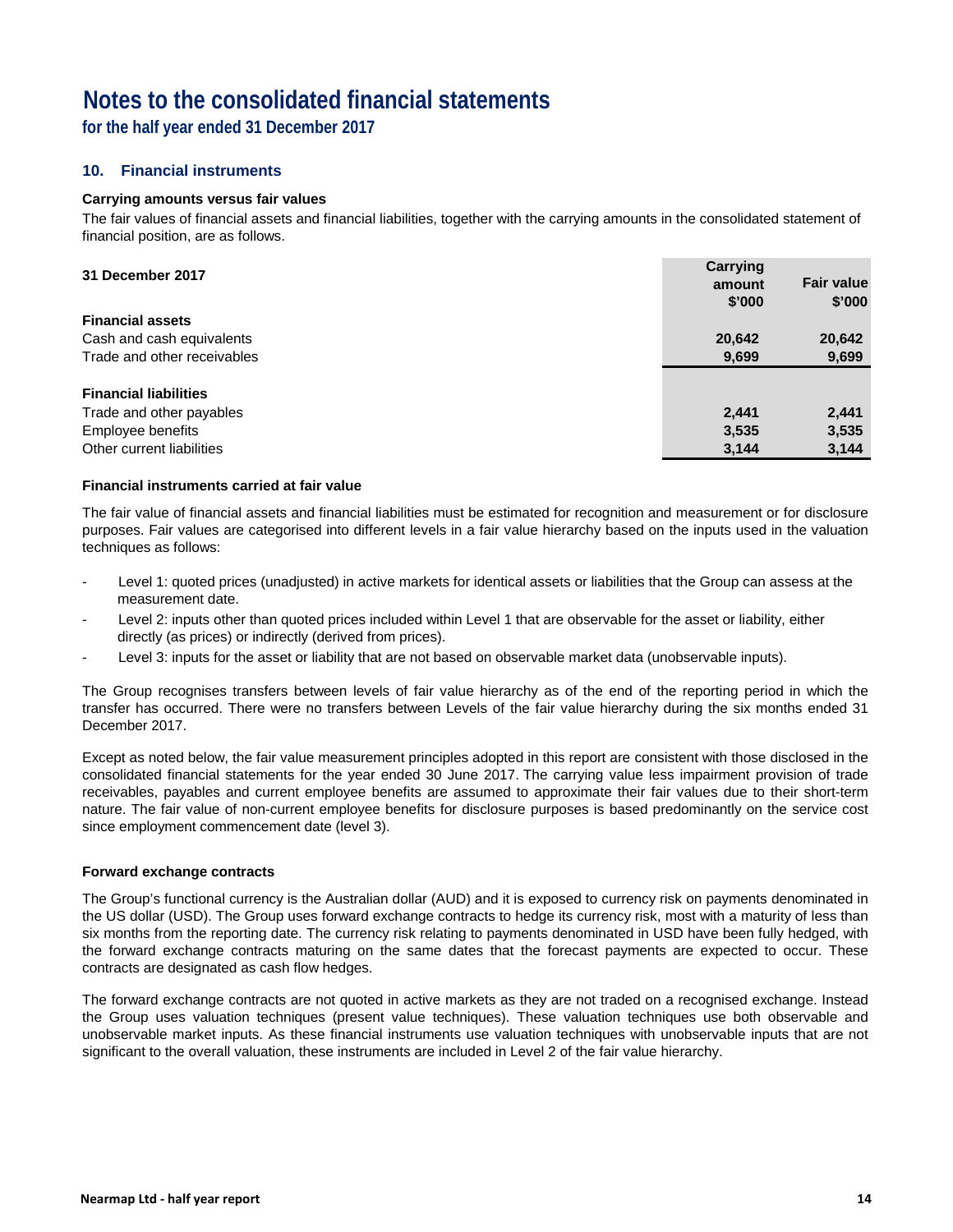**for the half year ended 31 December 2017**

## **10. Financial instruments**

### **Carrying amounts versus fair values**

The fair values of financial assets and financial liabilities, together with the carrying amounts in the consolidated statement of financial position, are as follows.

| 31 December 2017             | Carrying<br>amount<br>\$'000 | <b>Fair value</b><br>\$'000 |
|------------------------------|------------------------------|-----------------------------|
| <b>Financial assets</b>      |                              |                             |
| Cash and cash equivalents    | 20,642                       | 20,642                      |
| Trade and other receivables  | 9,699                        | 9,699                       |
| <b>Financial liabilities</b> |                              |                             |
| Trade and other payables     | 2,441                        | 2,441                       |
| <b>Employee benefits</b>     | 3,535                        | 3,535                       |
| Other current liabilities    | 3,144                        | 3,144                       |

### **Financial instruments carried at fair value**

The fair value of financial assets and financial liabilities must be estimated for recognition and measurement or for disclosure purposes. Fair values are categorised into different levels in a fair value hierarchy based on the inputs used in the valuation techniques as follows:

- Level 1: quoted prices (unadjusted) in active markets for identical assets or liabilities that the Group can assess at the measurement date.
- Level 2: inputs other than quoted prices included within Level 1 that are observable for the asset or liability, either directly (as prices) or indirectly (derived from prices).
- Level 3: inputs for the asset or liability that are not based on observable market data (unobservable inputs).

The Group recognises transfers between levels of fair value hierarchy as of the end of the reporting period in which the transfer has occurred. There were no transfers between Levels of the fair value hierarchy during the six months ended 31 December 2017.

Except as noted below, the fair value measurement principles adopted in this report are consistent with those disclosed in the consolidated financial statements for the year ended 30 June 2017. The carrying value less impairment provision of trade receivables, payables and current employee benefits are assumed to approximate their fair values due to their short-term nature. The fair value of non-current employee benefits for disclosure purposes is based predominantly on the service cost since employment commencement date (level 3).

### **Forward exchange contracts**

The Group's functional currency is the Australian dollar (AUD) and it is exposed to currency risk on payments denominated in the US dollar (USD). The Group uses forward exchange contracts to hedge its currency risk, most with a maturity of less than six months from the reporting date. The currency risk relating to payments denominated in USD have been fully hedged, with the forward exchange contracts maturing on the same dates that the forecast payments are expected to occur. These contracts are designated as cash flow hedges.

The forward exchange contracts are not quoted in active markets as they are not traded on a recognised exchange. Instead the Group uses valuation techniques (present value techniques). These valuation techniques use both observable and unobservable market inputs. As these financial instruments use valuation techniques with unobservable inputs that are not significant to the overall valuation, these instruments are included in Level 2 of the fair value hierarchy.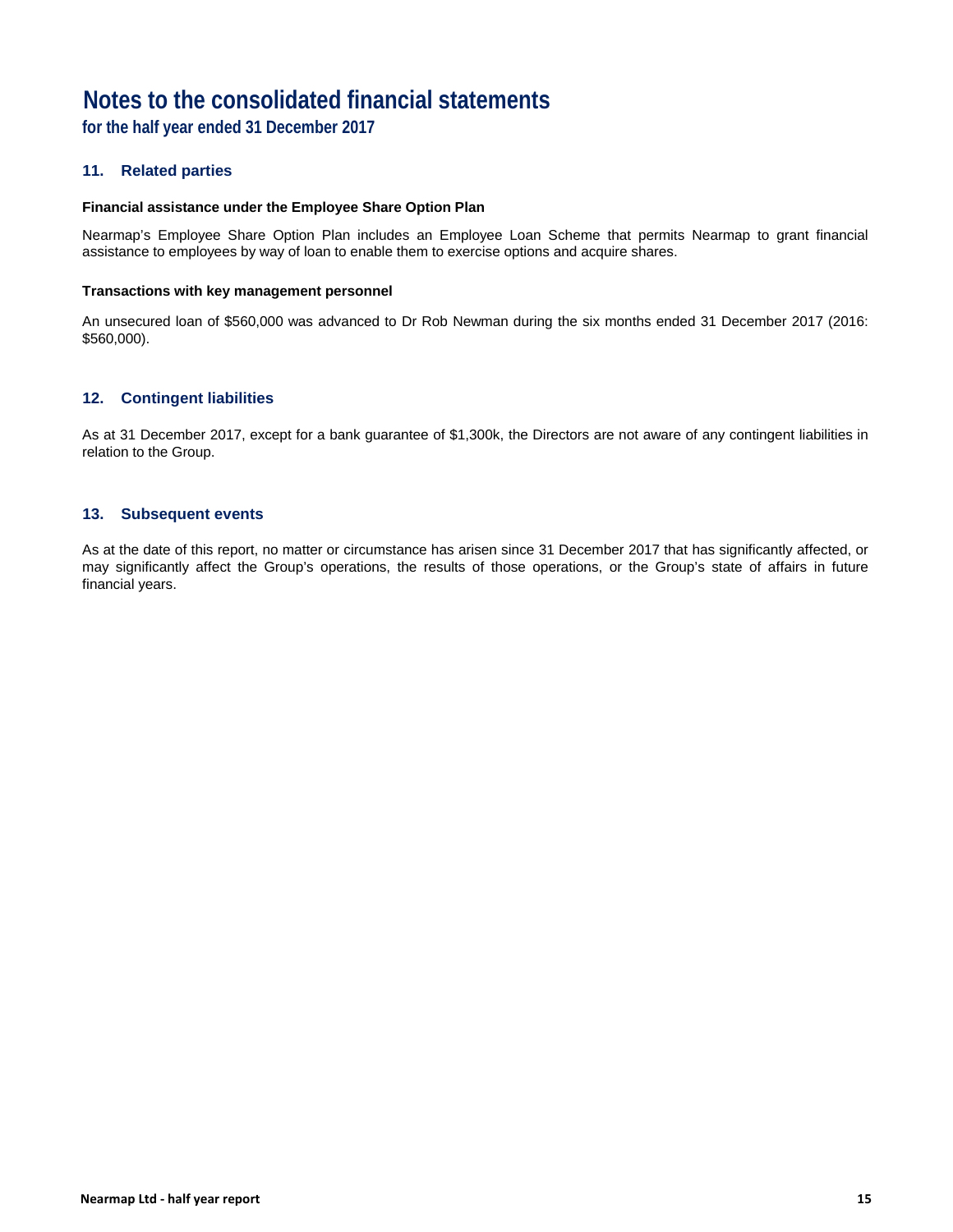**for the half year ended 31 December 2017**

## **11. Related parties**

### **Financial assistance under the Employee Share Option Plan**

Nearmap's Employee Share Option Plan includes an Employee Loan Scheme that permits Nearmap to grant financial assistance to employees by way of loan to enable them to exercise options and acquire shares.

#### **Transactions with key management personnel**

An unsecured loan of \$560,000 was advanced to Dr Rob Newman during the six months ended 31 December 2017 (2016: \$560,000).

### **12. Contingent liabilities**

As at 31 December 2017, except for a bank guarantee of \$1,300k, the Directors are not aware of any contingent liabilities in relation to the Group.

### **13. Subsequent events**

As at the date of this report, no matter or circumstance has arisen since 31 December 2017 that has significantly affected, or may significantly affect the Group's operations, the results of those operations, or the Group's state of affairs in future financial years.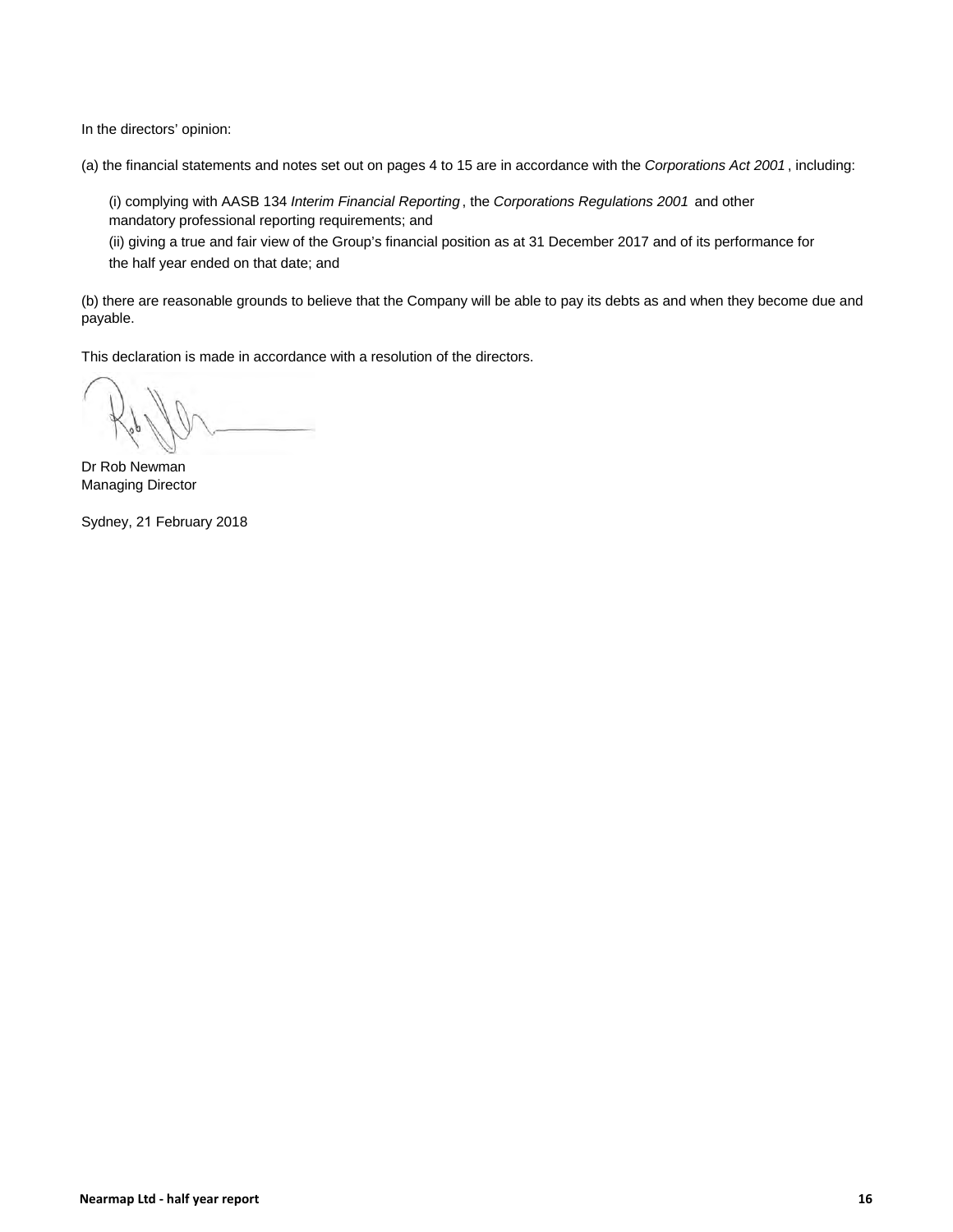In the directors' opinion:

(a) the financial statements and notes set out on pages 4 to 15 are in accordance with the *Corporations Act 2001* , including:

(i) complying with AASB 134 *Interim Financial Reporting* , the *Corporations Regulations 2001* and other mandatory professional reporting requirements; and

(ii) giving a true and fair view of the Group's financial position as at 31 December 2017 and of its performance for the half year ended on that date; and

(b) there are reasonable grounds to believe that the Company will be able to pay its debts as and when they become due and payable.

This declaration is made in accordance with a resolution of the directors.

Dr Rob Newman Managing Director

Sydney, 21 February 2018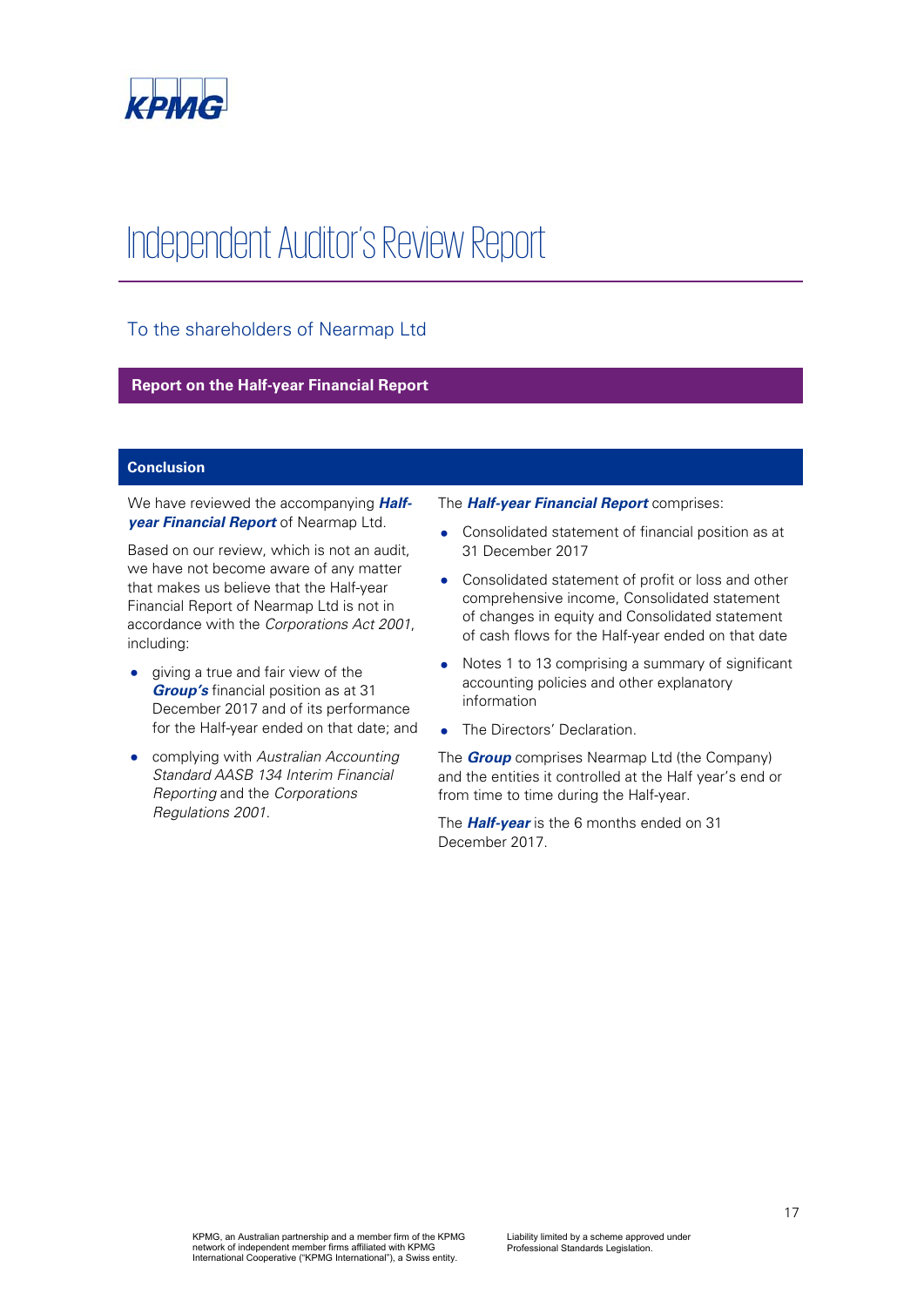

# Independent Auditor's Review Report

## To the shareholders of Nearmap Ltd

#### **Report on the Half-year Financial Report**

#### **Conclusion**

We have reviewed the accompanying *Halfyear Financial Report* of Nearmap Ltd.

Based on our review, which is not an audit, we have not become aware of any matter that makes us believe that the Half-year Financial Report of Nearmap Ltd is not in accordance with the *Corporations Act 2001*, including:

- giving a true and fair view of the *Group's* financial position as at 31 December 2017 and of its performance for the Half-year ended on that date; and
- complying with *Australian Accounting Standard AASB 134 Interim Financial Reporting* and the *Corporations Regulations 2001*.

The *Half-year Financial Report* comprises:

- Consolidated statement of financial position as at 31 December 2017
- Consolidated statement of profit or loss and other comprehensive income, Consolidated statement of changes in equity and Consolidated statement of cash flows for the Half-year ended on that date
- Notes 1 to 13 comprising a summary of significant accounting policies and other explanatory information
- The Directors' Declaration.

The *Group* comprises Nearmap Ltd (the Company) and the entities it controlled at the Half year's end or from time to time during the Half-year.

The *Half-year* is the 6 months ended on 31 December 2017.